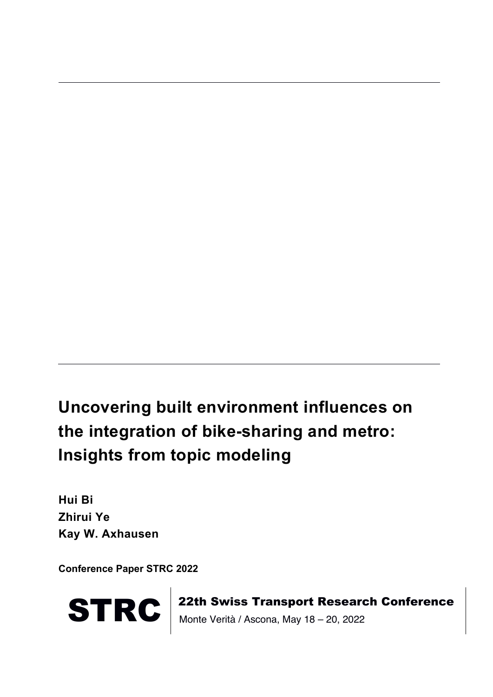## **Uncovering built environment influences on the integration of bike-sharing and metro: Insights from topic modeling**

**Hui Bi Zhirui Ye Kay W. Axhausen**

**Conference Paper STRC 2022**



STRC | 22th Swiss Transport Research Conference<br>Monte Verità / Ascona, May 18 – 20, 2022